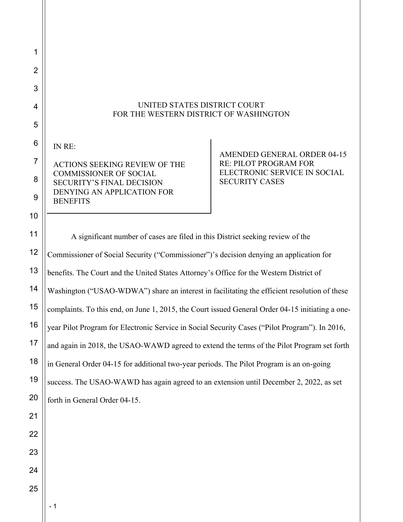## UNITED STATES DISTRICT COURT FOR THE WESTERN DISTRICT OF WASHINGTON

IN RE:

1

2

3

4

5

6

7

8

9

10

11

12

13

ACTIONS SEEKING REVIEW OF THE COMMISSIONER OF SOCIAL SECURITY'S FINAL DECISION DENYING AN APPLICATION FOR **BENEFITS** 

AMENDED GENERAL ORDER 04-15 RE: PILOT PROGRAM FOR ELECTRONIC SERVICE IN SOCIAL SECURITY CASES

A significant number of cases are filed in this District seeking review of the Commissioner of Social Security ("Commissioner")'s decision denying an application for benefits. The Court and the United States Attorney's Office for the Western District of Washington ("USAO-WDWA") share an interest in facilitating the efficient resolution of these complaints. To this end, on June 1, 2015, the Court issued General Order 04-15 initiating a oneyear Pilot Program for Electronic Service in Social Security Cases ("Pilot Program"). In 2016, and again in 2018, the USAO-WAWD agreed to extend the terms of the Pilot Program set forth in General Order 04-15 for additional two-year periods. The Pilot Program is an on-going success. The USAO-WAWD has again agreed to an extension until December 2, 2022, as set forth in General Order 04-15.

- 1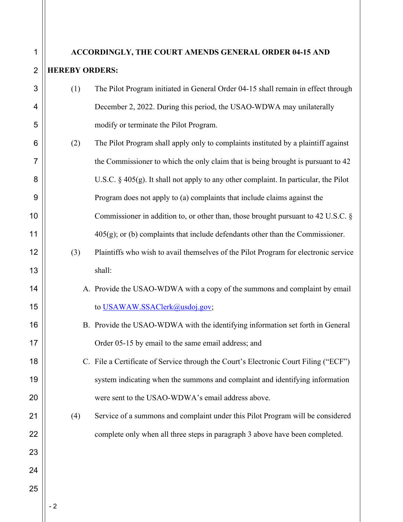## **ACCORDINGLY, THE COURT AMENDS GENERAL ORDER 04-15 AND HEREBY ORDERS:**

- (1) The Pilot Program initiated in General Order 04-15 shall remain in effect through December 2, 2022. During this period, the USAO-WDWA may unilaterally modify or terminate the Pilot Program.
- (2) The Pilot Program shall apply only to complaints instituted by a plaintiff against the Commissioner to which the only claim that is being brought is pursuant to 42 U.S.C.  $\S 405(g)$ . It shall not apply to any other complaint. In particular, the Pilot Program does not apply to (a) complaints that include claims against the Commissioner in addition to, or other than, those brought pursuant to 42 U.S.C. §  $405(g)$ ; or (b) complaints that include defendants other than the Commissioner.
	- (3) Plaintiffs who wish to avail themselves of the Pilot Program for electronic service shall:
		- A. Provide the USAO-WDWA with a copy of the summons and complaint by email to USAWAW.SSAClerk@usdoj.gov;
		- B. Provide the USAO-WDWA with the identifying information set forth in General Order 05-15 by email to the same email address; and
		- C. File a Certificate of Service through the Court's Electronic Court Filing ("ECF") system indicating when the summons and complaint and identifying information were sent to the USAO-WDWA's email address above.
	- (4) Service of a summons and complaint under this Pilot Program will be considered complete only when all three steps in paragraph 3 above have been completed.

1

2

3

4

5

6

7

8

9

10

11

12

13

14

15

16

17

18

19

20

21

22

23

24

25

- 2